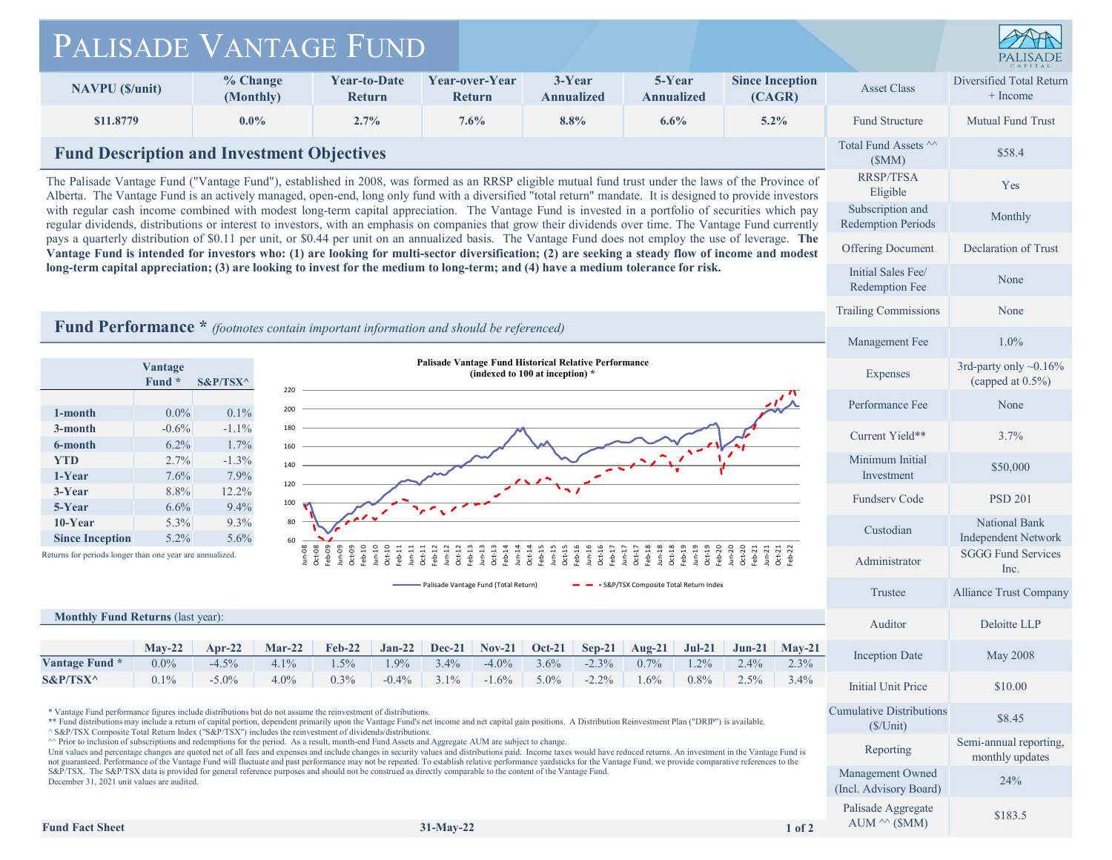## PALISADE VANTAGE FUND



|                                                                                                                                                                                                                                                                                                                                                                                                                                                                                                                                                                                                                                                                                                                                                                                                                                                                                                                                                                                                                                                                                     | PALISADE VANTAGE FUND                                                                                                                |                                      |                                       |                                              |                                        |                                      |                                                                  |                                                  |
|-------------------------------------------------------------------------------------------------------------------------------------------------------------------------------------------------------------------------------------------------------------------------------------------------------------------------------------------------------------------------------------------------------------------------------------------------------------------------------------------------------------------------------------------------------------------------------------------------------------------------------------------------------------------------------------------------------------------------------------------------------------------------------------------------------------------------------------------------------------------------------------------------------------------------------------------------------------------------------------------------------------------------------------------------------------------------------------|--------------------------------------------------------------------------------------------------------------------------------------|--------------------------------------|---------------------------------------|----------------------------------------------|----------------------------------------|--------------------------------------|------------------------------------------------------------------|--------------------------------------------------|
| <b>NAVPU</b> (\$/unit)                                                                                                                                                                                                                                                                                                                                                                                                                                                                                                                                                                                                                                                                                                                                                                                                                                                                                                                                                                                                                                                              | % Change<br>(Monthly)                                                                                                                | <b>Year-to-Date</b><br><b>Return</b> | Year-over-Year<br><b>Return</b>       | 3-Year<br><b>Annualized</b>                  | 5-Year<br><b>Annualized</b>            | <b>Since Inception</b><br>(CAGR)     | <b>Asset Class</b>                                               | Diversified Total Return<br>+ Income             |
| \$11.8779                                                                                                                                                                                                                                                                                                                                                                                                                                                                                                                                                                                                                                                                                                                                                                                                                                                                                                                                                                                                                                                                           | $0.0\%$                                                                                                                              | 2.7%                                 | 7.6%                                  | 8.8%                                         | 6.6%                                   | $5.2\%$                              | <b>Fund Structure</b>                                            | <b>Mutual Fund Trust</b>                         |
|                                                                                                                                                                                                                                                                                                                                                                                                                                                                                                                                                                                                                                                                                                                                                                                                                                                                                                                                                                                                                                                                                     | <b>Fund Description and Investment Objectives</b>                                                                                    |                                      |                                       |                                              |                                        |                                      |                                                                  |                                                  |
| The Palisade Vantage Fund ("Vantage Fund"), established in 2008, was formed as an RRSP eligible mutual fund trust under the laws of the Province of<br>Alberta. The Vantage Fund is an actively managed, open-end, long only fund with a diversified "total return" mandate. It is designed to provide investors<br>with regular cash income combined with modest long-term capital appreciation. The Vantage Fund is invested in a portfolio of securities which pay<br>regular dividends, distributions or interest to investors, with an emphasis on companies that grow their dividends over time. The Vantage Fund currently<br>pays a quarterly distribution of \$0.11 per unit, or \$0.44 per unit on an annualized basis. The Vantage Fund does not employ the use of leverage. The<br>Vantage Fund is intended for investors who: (1) are looking for multi-sector diversification; (2) are seeking a steady flow of income and modest<br>long-term capital appreciation; (3) are looking to invest for the medium to long-term; and (4) have a medium tolerance for risk. |                                                                                                                                      |                                      |                                       |                                              |                                        |                                      | (SMM)<br><b>RRSP/TFSA</b><br>Eligible                            | Yes                                              |
|                                                                                                                                                                                                                                                                                                                                                                                                                                                                                                                                                                                                                                                                                                                                                                                                                                                                                                                                                                                                                                                                                     |                                                                                                                                      |                                      |                                       |                                              |                                        |                                      | Subscription and<br><b>Redemption Periods</b>                    | Monthly                                          |
|                                                                                                                                                                                                                                                                                                                                                                                                                                                                                                                                                                                                                                                                                                                                                                                                                                                                                                                                                                                                                                                                                     |                                                                                                                                      |                                      |                                       |                                              |                                        |                                      | <b>Offering Document</b>                                         | Declaration of Trust                             |
|                                                                                                                                                                                                                                                                                                                                                                                                                                                                                                                                                                                                                                                                                                                                                                                                                                                                                                                                                                                                                                                                                     |                                                                                                                                      |                                      |                                       |                                              |                                        |                                      | Initial Sales Fee/<br>Redemption Fee                             | None                                             |
|                                                                                                                                                                                                                                                                                                                                                                                                                                                                                                                                                                                                                                                                                                                                                                                                                                                                                                                                                                                                                                                                                     |                                                                                                                                      |                                      |                                       |                                              |                                        |                                      | <b>Trailing Commissions</b>                                      | None                                             |
| Fund Performance * (footnotes contain important information and should be referenced)                                                                                                                                                                                                                                                                                                                                                                                                                                                                                                                                                                                                                                                                                                                                                                                                                                                                                                                                                                                               |                                                                                                                                      |                                      |                                       |                                              |                                        |                                      | Management Fee                                                   | $1.0\%$                                          |
|                                                                                                                                                                                                                                                                                                                                                                                                                                                                                                                                                                                                                                                                                                                                                                                                                                                                                                                                                                                                                                                                                     | Palisade Vantage Fund Historical Relative Performance<br>Vantage<br>(indexed to 100 at inception) *<br>Fund *<br>$S\&P/TSX^{\wedge}$ |                                      |                                       |                                              |                                        |                                      | Expenses                                                         | 3rd-party only $~0.16\%$<br>(capped at $0.5\%$ ) |
| $0.0\%$<br>1-month                                                                                                                                                                                                                                                                                                                                                                                                                                                                                                                                                                                                                                                                                                                                                                                                                                                                                                                                                                                                                                                                  | 220<br>200<br>0.1%                                                                                                                   |                                      |                                       |                                              |                                        |                                      | Performance Fee                                                  | None                                             |
| $-0.6%$<br>3-month<br>6.2%<br>6-month                                                                                                                                                                                                                                                                                                                                                                                                                                                                                                                                                                                                                                                                                                                                                                                                                                                                                                                                                                                                                                               | $-1.1%$<br>$1.7\%$                                                                                                                   |                                      |                                       |                                              |                                        |                                      | Current Yield**                                                  | 3.7%                                             |
| 2.7%<br><b>YTD</b><br>1-Year<br>7.6%                                                                                                                                                                                                                                                                                                                                                                                                                                                                                                                                                                                                                                                                                                                                                                                                                                                                                                                                                                                                                                                | $-1.3%$<br>140<br>7.9%                                                                                                               |                                      |                                       |                                              |                                        |                                      | Minimum Initial<br>Investment                                    | \$50,000                                         |
| 8.8%<br>3-Year<br>6.6%<br>5-Year                                                                                                                                                                                                                                                                                                                                                                                                                                                                                                                                                                                                                                                                                                                                                                                                                                                                                                                                                                                                                                                    | 120<br>12.2%<br>100<br>9.4%                                                                                                          |                                      |                                       |                                              |                                        |                                      | <b>Fundserv Code</b>                                             | <b>PSD 201</b>                                   |
| $10$ -Year<br>5.3%<br>5.2%<br><b>Since Inception</b>                                                                                                                                                                                                                                                                                                                                                                                                                                                                                                                                                                                                                                                                                                                                                                                                                                                                                                                                                                                                                                | 9.3%<br>80<br>5.6%<br>60                                                                                                             |                                      |                                       |                                              |                                        |                                      | Custodian                                                        | National Bank<br><b>Independent Network</b>      |
| $\frac{8}{2}$<br>$\frac{8}{2}$<br>Returns for periods longer than one year are annualized.                                                                                                                                                                                                                                                                                                                                                                                                                                                                                                                                                                                                                                                                                                                                                                                                                                                                                                                                                                                          |                                                                                                                                      |                                      |                                       |                                              |                                        |                                      | Administrator                                                    | <b>SGGG Fund Services</b><br>Inc.                |
|                                                                                                                                                                                                                                                                                                                                                                                                                                                                                                                                                                                                                                                                                                                                                                                                                                                                                                                                                                                                                                                                                     |                                                                                                                                      |                                      | Palisade Vantage Fund (Total Return)  |                                              | • S&P/TSX Composite Total Return Index |                                      | Trustee                                                          | Alliance Trust Company                           |
| <b>Monthly Fund Returns (last year):</b>                                                                                                                                                                                                                                                                                                                                                                                                                                                                                                                                                                                                                                                                                                                                                                                                                                                                                                                                                                                                                                            |                                                                                                                                      |                                      |                                       |                                              |                                        |                                      | Auditor                                                          | Deloitte LLP                                     |
| $May-22$<br>Vantage Fund *<br>$0.0\%$                                                                                                                                                                                                                                                                                                                                                                                                                                                                                                                                                                                                                                                                                                                                                                                                                                                                                                                                                                                                                                               | $Apr-22$<br>$Mar-22$<br>$-4.5%$<br>4.1%                                                                                              | $Jan-22$<br>$Feb-22$<br>1.5%<br>1.9% | Dec-21<br>$Nov-21$<br>3.4%<br>$-4.0%$ | <b>Oct-21</b><br>$Sep-21$<br>3.6%<br>$-2.3%$ | Aug-21<br>$Jul-21$<br>0.7%<br>1.2%     | $Jun-21$<br>$May-21$<br>2.4%<br>2.3% | <b>Inception Date</b>                                            | <b>May 2008</b>                                  |
| S&P/TSX^<br>$0.1\%$                                                                                                                                                                                                                                                                                                                                                                                                                                                                                                                                                                                                                                                                                                                                                                                                                                                                                                                                                                                                                                                                 | $-5.0\%$<br>$4.0\%$                                                                                                                  | $-0.4%$<br>$0.3\%$                   | $-1.6\%$<br>$3.1\%$                   | $-2.2\%$<br>$5.0\%$                          | $0.8\%$<br>$1.6\%$                     | 2.5%<br>$3.4\%$                      | <b>Initial Unit Price</b>                                        | \$10.00                                          |
| * Vantage Fund performance figures include distributions but do not assume the reinvestment of distributions.<br>** Fund distributions may include a return of capital portion, dependent primarily upon the Vantage Fund's net income and net capital gain positions. A Distribution Reinvestment Plan ("DRIP") is available.                                                                                                                                                                                                                                                                                                                                                                                                                                                                                                                                                                                                                                                                                                                                                      |                                                                                                                                      |                                      |                                       |                                              |                                        |                                      | <b>Cumulative Distributions</b><br>$(S/U$ nit)                   | \$8.45                                           |
| ^ S&P/TSX Composite Total Return Index ("S&P/TSX") includes the reinvestment of dividends/distributions.<br>^^ Prior to inclusion of subscriptions and redemptions for the period. As a result, month-end Fund Assets and Aggregate AUM are subject to change.<br>Unit values and percentage changes are quoted net of all fees and expenses and include changes in security values and distributions paid. Income taxes would have reduced returns. An investment in the Vantage Fund is<br>not guaranteed. Performance of the Vantage Fund will fluctuate and past performance may not be repeated. To establish relative performance yardsticks for the Vantage Fund, we provide comparative references to the<br>S&P/TSX. The S&P/TSX data is provided for general reference purposes and should not be construed as directly comparable to the content of the Vantage Fund.<br>December 31, 2021 unit values are audited.                                                                                                                                                      |                                                                                                                                      |                                      |                                       |                                              |                                        |                                      | Reporting                                                        | Semi-annual reporting,<br>monthly updates        |
|                                                                                                                                                                                                                                                                                                                                                                                                                                                                                                                                                                                                                                                                                                                                                                                                                                                                                                                                                                                                                                                                                     |                                                                                                                                      |                                      |                                       |                                              |                                        |                                      | Management Owned                                                 | 24%                                              |
|                                                                                                                                                                                                                                                                                                                                                                                                                                                                                                                                                                                                                                                                                                                                                                                                                                                                                                                                                                                                                                                                                     |                                                                                                                                      |                                      |                                       |                                              |                                        |                                      |                                                                  |                                                  |
| <b>Fund Fact Sheet</b>                                                                                                                                                                                                                                                                                                                                                                                                                                                                                                                                                                                                                                                                                                                                                                                                                                                                                                                                                                                                                                                              |                                                                                                                                      |                                      | $31-May-22$                           |                                              |                                        | $1$ of $2$                           | (Incl. Advisory Board)<br>Palisade Aggregate<br>$AUM \sim (SMM)$ | \$183.5                                          |